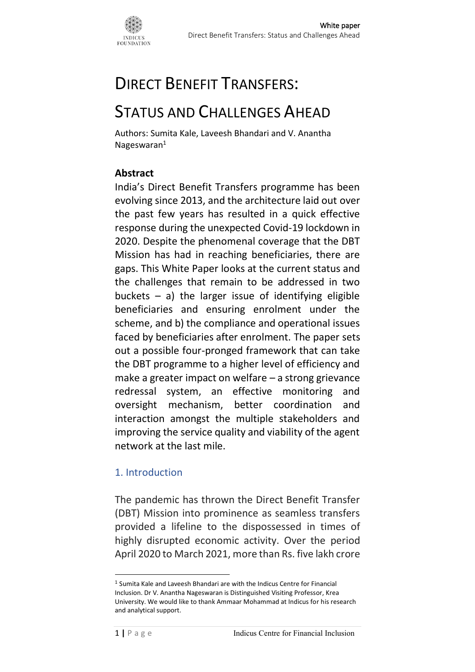

# DIRECT BENEFIT TRANSFERS:

# STATUS AND CHALLENGES AHEAD

Authors: Sumita Kale, Laveesh Bhandari and V. Anantha Nageswaran<sup>1</sup>

## **Abstract**

India's Direct Benefit Transfers programme has been evolving since 2013, and the architecture laid out over the past few years has resulted in a quick effective response during the unexpected Covid-19 lockdown in 2020. Despite the phenomenal coverage that the DBT Mission has had in reaching beneficiaries, there are gaps. This White Paper looks at the current status and the challenges that remain to be addressed in two buckets – a) the larger issue of identifying eligible beneficiaries and ensuring enrolment under the scheme, and b) the compliance and operational issues faced by beneficiaries after enrolment. The paper sets out a possible four-pronged framework that can take the DBT programme to a higher level of efficiency and make a greater impact on welfare – a strong grievance redressal system, an effective monitoring and oversight mechanism, better coordination and interaction amongst the multiple stakeholders and improving the service quality and viability of the agent network at the last mile.

### 1. Introduction

The pandemic has thrown the Direct Benefit Transfer (DBT) Mission into prominence as seamless transfers provided a lifeline to the dispossessed in times of highly disrupted economic activity. Over the period April 2020 to March 2021, more than Rs. five lakh crore

<sup>1</sup> Sumita Kale and Laveesh Bhandari are with the Indicus Centre for Financial Inclusion. Dr V. Anantha Nageswaran is Distinguished Visiting Professor, Krea University. We would like to thank Ammaar Mohammad at Indicus for his research and analytical support.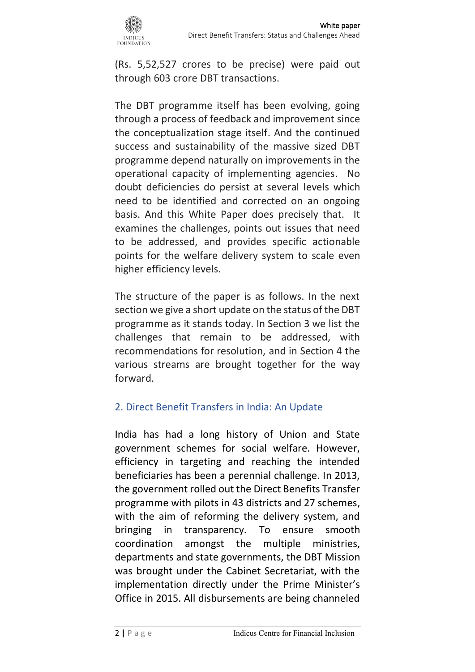

(Rs. 5,52,527 crores to be precise) were paid out through 603 crore DBT transactions.

The DBT programme itself has been evolving, going through a process of feedback and improvement since the conceptualization stage itself. And the continued success and sustainability of the massive sized DBT programme depend naturally on improvements in the operational capacity of implementing agencies. No doubt deficiencies do persist at several levels which need to be identified and corrected on an ongoing basis. And this White Paper does precisely that. It examines the challenges, points out issues that need to be addressed, and provides specific actionable points for the welfare delivery system to scale even higher efficiency levels.

The structure of the paper is as follows. In the next section we give a short update on the status of the DBT programme as it stands today. In Section 3 we list the challenges that remain to be addressed, with recommendations for resolution, and in Section 4 the various streams are brought together for the way forward.

### 2. Direct Benefit Transfers in India: An Update

India has had a long history of Union and State government schemes for social welfare. However, efficiency in targeting and reaching the intended beneficiaries has been a perennial challenge. In 2013, the government rolled out the Direct Benefits Transfer programme with pilots in 43 districts and 27 schemes, with the aim of reforming the delivery system, and bringing in transparency. To ensure smooth coordination amongst the multiple ministries, departments and state governments, the DBT Mission was brought under the Cabinet Secretariat, with the implementation directly under the Prime Minister's Office in 2015. All disbursements are being channeled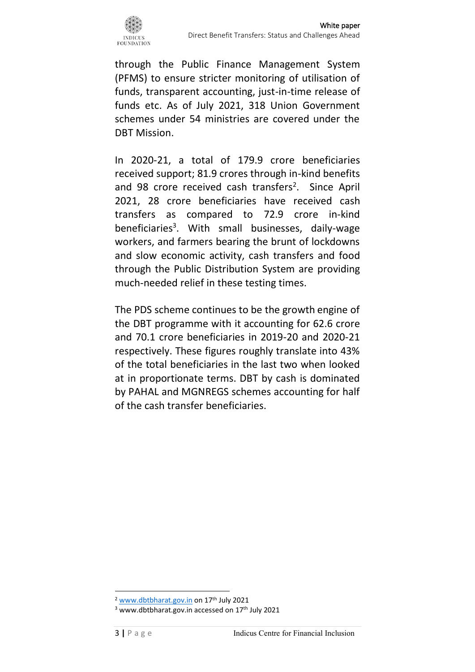

through the Public Finance Management System (PFMS) to ensure stricter monitoring of utilisation of funds, transparent accounting, just-in-time release of funds etc. As of July 2021, 318 Union Government schemes under 54 ministries are covered under the DBT Mission.

In 2020-21, a total of 179.9 crore beneficiaries received support; 81.9 crores through in-kind benefits and 98 crore received cash transfers<sup>2</sup>. Since April 2021, 28 crore beneficiaries have received cash transfers as compared to 72.9 crore in-kind beneficiaries<sup>3</sup>. With small businesses, daily-wage workers, and farmers bearing the brunt of lockdowns and slow economic activity, cash transfers and food through the Public Distribution System are providing much-needed relief in these testing times.

The PDS scheme continues to be the growth engine of the DBT programme with it accounting for 62.6 crore and 70.1 crore beneficiaries in 2019-20 and 2020-21 respectively. These figures roughly translate into 43% of the total beneficiaries in the last two when looked at in proportionate terms. DBT by cash is dominated by PAHAL and MGNREGS schemes accounting for half of the cash transfer beneficiaries.

<sup>2</sup> [www.dbtbharat.gov.in](http://www.dbtbharat.gov.in/) on 17th July 2021

<sup>&</sup>lt;sup>3</sup> www.dbtbharat.gov.in accessed on 17<sup>th</sup> July 2021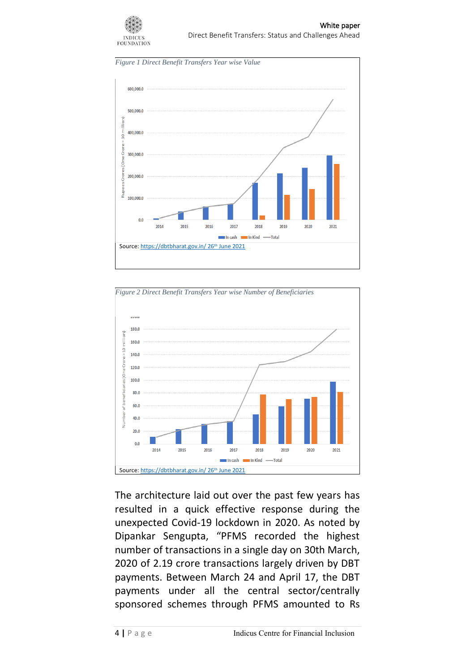







The architecture laid out over the past few years has resulted in a quick effective response during the unexpected Covid-19 lockdown in 2020. As noted by Dipankar Sengupta, "PFMS recorded the highest number of transactions in a single day on 30th March, 2020 of 2.19 crore transactions largely driven by DBT payments. Between March 24 and April 17, the DBT payments under all the central sector/centrally sponsored schemes through PFMS amounted to Rs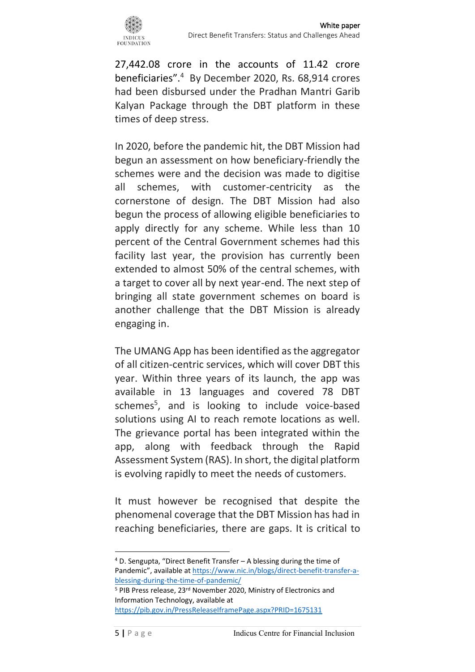

27,442.08 crore in the accounts of 11.42 crore beneficiaries".<sup>4</sup> By December 2020, Rs. 68,914 crores had been disbursed under the Pradhan Mantri Garib Kalyan Package through the DBT platform in these times of deep stress.

In 2020, before the pandemic hit, the DBT Mission had begun an assessment on how beneficiary-friendly the schemes were and the decision was made to digitise all schemes, with customer-centricity as the cornerstone of design. The DBT Mission had also begun the process of allowing eligible beneficiaries to apply directly for any scheme. While less than 10 percent of the Central Government schemes had this facility last year, the provision has currently been extended to almost 50% of the central schemes, with a target to cover all by next year-end. The next step of bringing all state government schemes on board is another challenge that the DBT Mission is already engaging in.

The UMANG App has been identified as the aggregator of all citizen-centric services, which will cover DBT this year. Within three years of its launch, the app was available in 13 languages and covered 78 DBT schemes<sup>5</sup>, and is looking to include voice-based solutions using AI to reach remote locations as well. The grievance portal has been integrated within the app, along with feedback through the Rapid Assessment System (RAS). In short, the digital platform is evolving rapidly to meet the needs of customers.

It must however be recognised that despite the phenomenal coverage that the DBT Mission has had in reaching beneficiaries, there are gaps. It is critical to

<sup>4</sup> D. Sengupta, "Direct Benefit Transfer – A blessing during the time of Pandemic", available a[t https://www.nic.in/blogs/direct-benefit-transfer-a](https://www.nic.in/blogs/direct-benefit-transfer-a-blessing-during-the-time-of-pandemic/)[blessing-during-the-time-of-pandemic/](https://www.nic.in/blogs/direct-benefit-transfer-a-blessing-during-the-time-of-pandemic/)

<sup>&</sup>lt;sup>5</sup> PIB Press release, 23<sup>rd</sup> November 2020, Ministry of Electronics and Information Technology, available at <https://pib.gov.in/PressReleaseIframePage.aspx?PRID=1675131>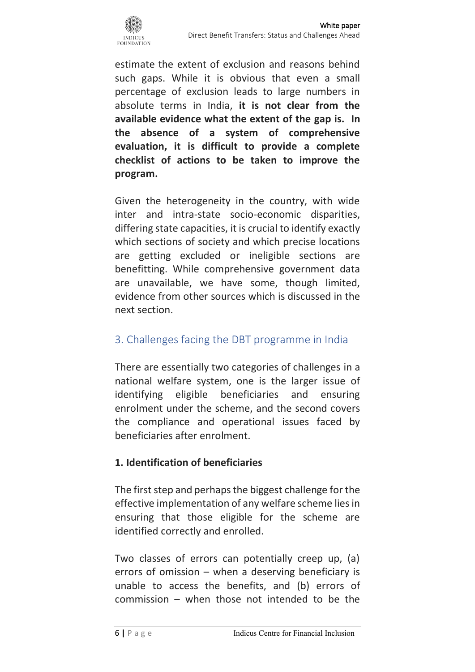

White paper Direct Benefit Transfers: Status and Challenges Ahead

estimate the extent of exclusion and reasons behind such gaps. While it is obvious that even a small percentage of exclusion leads to large numbers in absolute terms in India, **it is not clear from the available evidence what the extent of the gap is. In the absence of a system of comprehensive evaluation, it is difficult to provide a complete checklist of actions to be taken to improve the program.**

Given the heterogeneity in the country, with wide inter and intra-state socio-economic disparities, differing state capacities, it is crucial to identify exactly which sections of society and which precise locations are getting excluded or ineligible sections are benefitting. While comprehensive government data are unavailable, we have some, though limited, evidence from other sources which is discussed in the next section.

## 3. Challenges facing the DBT programme in India

There are essentially two categories of challenges in a national welfare system, one is the larger issue of identifying eligible beneficiaries and ensuring enrolment under the scheme, and the second covers the compliance and operational issues faced by beneficiaries after enrolment.

## **1. Identification of beneficiaries**

The first step and perhaps the biggest challenge for the effective implementation of any welfare scheme lies in ensuring that those eligible for the scheme are identified correctly and enrolled.

Two classes of errors can potentially creep up, (a) errors of omission – when a deserving beneficiary is unable to access the benefits, and (b) errors of commission – when those not intended to be the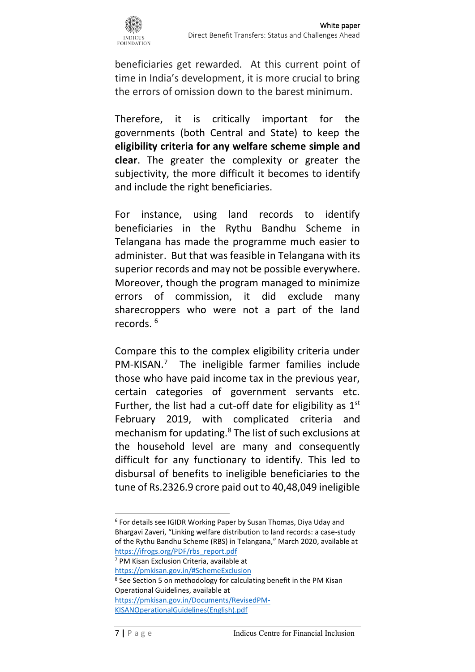

beneficiaries get rewarded. At this current point of time in India's development, it is more crucial to bring the errors of omission down to the barest minimum.

Therefore, it is critically important for the governments (both Central and State) to keep the **eligibility criteria for any welfare scheme simple and clear**. The greater the complexity or greater the subjectivity, the more difficult it becomes to identify and include the right beneficiaries.

For instance, using land records to identify beneficiaries in the Rythu Bandhu Scheme in Telangana has made the programme much easier to administer. But that was feasible in Telangana with its superior records and may not be possible everywhere. Moreover, though the program managed to minimize errors of commission, it did exclude many sharecroppers who were not a part of the land records. <sup>6</sup>

Compare this to the complex eligibility criteria under PM-KISAN.<sup>7</sup> The ineligible farmer families include those who have paid income tax in the previous year, certain categories of government servants etc. Further, the list had a cut-off date for eligibility as  $1<sup>st</sup>$ February 2019, with complicated criteria and mechanism for updating. <sup>8</sup> The list of such exclusions at the household level are many and consequently difficult for any functionary to identify. This led to disbursal of benefits to ineligible beneficiaries to the tune of Rs.2326.9 crore paid out to 40,48,049 ineligible

<sup>6</sup> For details see IGIDR Working Paper by Susan Thomas, Diya Uday and Bhargavi Zaveri, "Linking welfare distribution to land records: a case-study of the Rythu Bandhu Scheme (RBS) in Telangana," March 2020, available at [https://ifrogs.org/PDF/rbs\\_report.pdf](https://ifrogs.org/PDF/rbs_report.pdf)

<sup>7</sup> PM Kisan Exclusion Criteria, available at <https://pmkisan.gov.in/#SchemeExclusion>

<sup>8</sup> See Section 5 on methodology for calculating benefit in the PM Kisan Operational Guidelines, available at [https://pmkisan.gov.in/Documents/RevisedPM-](https://pmkisan.gov.in/Documents/RevisedPM-KISANOperationalGuidelines(English).pdf)

[KISANOperationalGuidelines\(English\).pdf](https://pmkisan.gov.in/Documents/RevisedPM-KISANOperationalGuidelines(English).pdf)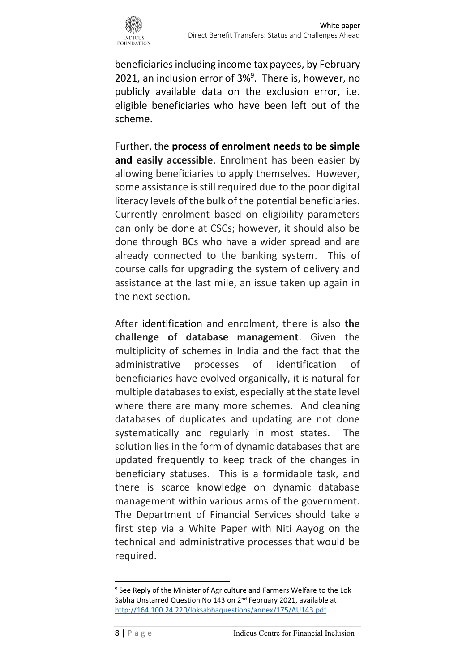

beneficiaries including income tax payees, by February 2021, an inclusion error of  $3\%$ <sup>9</sup>. There is, however, no publicly available data on the exclusion error, i.e. eligible beneficiaries who have been left out of the scheme.

Further, the **process of enrolment needs to be simple and easily accessible**. Enrolment has been easier by allowing beneficiaries to apply themselves. However, some assistance is still required due to the poor digital literacy levels of the bulk of the potential beneficiaries. Currently enrolment based on eligibility parameters can only be done at CSCs; however, it should also be done through BCs who have a wider spread and are already connected to the banking system. This of course calls for upgrading the system of delivery and assistance at the last mile, an issue taken up again in the next section.

After identification and enrolment, there is also **the challenge of database management**. Given the multiplicity of schemes in India and the fact that the administrative processes of identification of beneficiaries have evolved organically, it is natural for multiple databases to exist, especially at the state level where there are many more schemes. And cleaning databases of duplicates and updating are not done systematically and regularly in most states. The solution lies in the form of dynamic databases that are updated frequently to keep track of the changes in beneficiary statuses. This is a formidable task, and there is scarce knowledge on dynamic database management within various arms of the government. The Department of Financial Services should take a first step via a White Paper with Niti Aayog on the technical and administrative processes that would be required.

<sup>&</sup>lt;sup>9</sup> See Reply of the Minister of Agriculture and Farmers Welfare to the Lok Sabha Unstarred Question No 143 on 2<sup>nd</sup> February 2021, available at <http://164.100.24.220/loksabhaquestions/annex/175/AU143.pdf>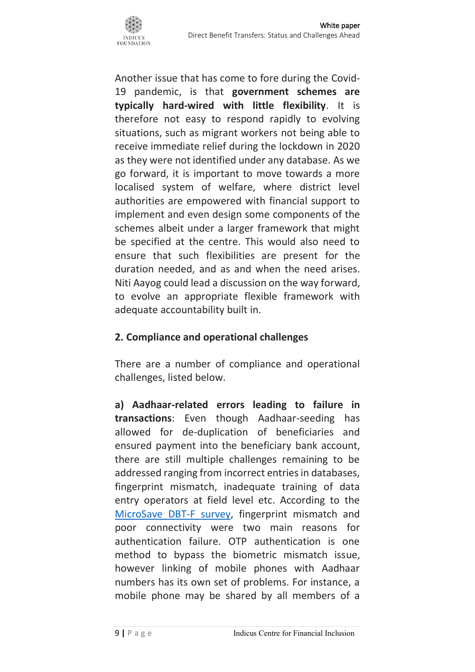

Another issue that has come to fore during the Covid-19 pandemic, is that **government schemes are typically hard-wired with little flexibility**. It is therefore not easy to respond rapidly to evolving situations, such as migrant workers not being able to receive immediate relief during the lockdown in 2020 as they were not identified under any database. As we go forward, it is important to move towards a more localised system of welfare, where district level authorities are empowered with financial support to implement and even design some components of the schemes albeit under a larger framework that might be specified at the centre. This would also need to ensure that such flexibilities are present for the duration needed, and as and when the need arises. Niti Aayog could lead a discussion on the way forward, to evolve an appropriate flexible framework with adequate accountability built in.

### **2. Compliance and operational challenges**

There are a number of compliance and operational challenges, listed below.

**a) Aadhaar-related errors leading to failure in transactions**: Even though Aadhaar-seeding has allowed for de-duplication of beneficiaries and ensured payment into the beneficiary bank account, there are still multiple challenges remaining to be addressed ranging from incorrect entries in databases, fingerprint mismatch, inadequate training of data entry operators at field level etc. According to the [MicroSave DBT-F survey,](https://www.microsave.net/wp-content/uploads/2019/10/191010_DBT_fertilizer-report.pdf) fingerprint mismatch and poor connectivity were two main reasons for authentication failure. OTP authentication is one method to bypass the biometric mismatch issue, however linking of mobile phones with Aadhaar numbers has its own set of problems. For instance, a mobile phone may be shared by all members of a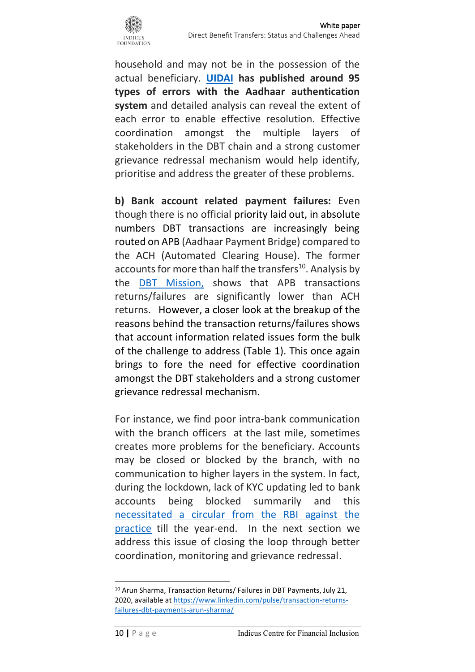

household and may not be in the possession of the actual beneficiary. **[UIDAI](https://uidai.gov.in/305-faqs/aadhaar-online-services/aadhaar-authentication-history/10779-what-are-error-codes.html) has published around 95 types of errors with the Aadhaar authentication system** and detailed analysis can reveal the extent of each error to enable effective resolution. Effective coordination amongst the multiple layers of stakeholders in the DBT chain and a strong customer grievance redressal mechanism would help identify, prioritise and address the greater of these problems.

**b) Bank account related payment failures:** Even though there is no official priority laid out, in absolute numbers DBT transactions are increasingly being routed on APB (Aadhaar Payment Bridge) compared to the ACH (Automated Clearing House). The former accounts for more than half the transfers<sup>10</sup>. Analysis by the [DBT Mission,](https://www.linkedin.com/pulse/transaction-returns-failures-dbt-payments-arun-sharma/?trk=public_profile_article_view) shows that APB transactions returns/failures are significantly lower than ACH returns. However, a closer look at the breakup of the reasons behind the transaction returns/failures shows that account information related issues form the bulk of the challenge to address (Table 1). This once again brings to fore the need for effective coordination amongst the DBT stakeholders and a strong customer grievance redressal mechanism.

For instance, we find poor intra-bank communication with the branch officers at the last mile, sometimes creates more problems for the beneficiary. Accounts may be closed or blocked by the branch, with no communication to higher layers in the system. In fact, during the lockdown, lack of KYC updating led to bank accounts being blocked summarily and this [necessitated a circular from the RBI against the](https://www.livemint.com/money/personal-finance/rbi-refrains-banks-from-acting-against-kyc-non-compliant-accounts-till-december-11620216814969.html)  [practice](https://www.livemint.com/money/personal-finance/rbi-refrains-banks-from-acting-against-kyc-non-compliant-accounts-till-december-11620216814969.html) till the year-end. In the next section we address this issue of closing the loop through better coordination, monitoring and grievance redressal.

<sup>&</sup>lt;sup>10</sup> Arun Sharma, Transaction Returns/ Failures in DBT Payments, July 21, 2020, available a[t https://www.linkedin.com/pulse/transaction-returns](https://www.linkedin.com/pulse/transaction-returns-failures-dbt-payments-arun-sharma/)[failures-dbt-payments-arun-sharma/](https://www.linkedin.com/pulse/transaction-returns-failures-dbt-payments-arun-sharma/)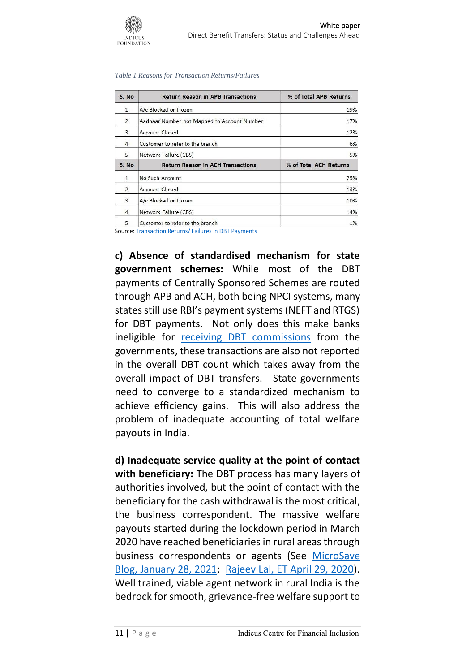1%

| S. No         | <b>Return Reason in APB Transactions</b>    | % of Total APB Returns |
|---------------|---------------------------------------------|------------------------|
| $\mathbf{1}$  | A/c Blocked or Frozen                       | 19%                    |
| 2             | Aadhaar Number not Mapped to Account Number | 17%                    |
| 3             | <b>Account Closed</b>                       | 12%                    |
| 4             | Customer to refer to the branch             | 6%                     |
| 5             | Network Failure (CBS)                       | 5%                     |
| S. No         | <b>Return Reason in ACH Transactions</b>    | % of Total ACH Returns |
| 1             | No Such Account                             | 25%                    |
| $\mathcal{P}$ | <b>Account Closed</b>                       | 13%                    |
| 3             | A/c Blocked or Frozen                       | 10%                    |
| 4             | Network Failure (CBS)                       | 14%                    |
|               |                                             |                        |

Source[: Transaction Returns/ Failures in DBT Payments](https://www.linkedin.com/pulse/transaction-returns-failures-dbt-payments-arun-sharma/)

Customer to refer to the branch

**INDICIE FOUNDATION** 

**c) Absence of standardised mechanism for state government schemes:** While most of the DBT payments of Centrally Sponsored Schemes are routed through APB and ACH, both being NPCI systems, many states still use RBI's payment systems (NEFT and RTGS) for DBT payments. Not only does this make banks ineligible for [receiving DBT commissions](https://www.linkedin.com/pulse/transaction-returns-failures-dbt-payments-arun-sharma/) from the governments, these transactions are also not reported in the overall DBT count which takes away from the overall impact of DBT transfers. State governments need to converge to a standardized mechanism to achieve efficiency gains. This will also address the problem of inadequate accounting of total welfare payouts in India.

**d) Inadequate service quality at the point of contact with beneficiary:** The DBT process has many layers of authorities involved, but the point of contact with the beneficiary for the cash withdrawal is the most critical, the business correspondent. The massive welfare payouts started during the lockdown period in March 2020 have reached beneficiaries in rural areas through business correspondents or agents (See [MicroSave](https://www.microsave.net/2021/01/28/addressing-three-key-issues-of-bc-agents-in-india-for-covid-like-challenges/)  [Blog, January 28, 2021;](https://www.microsave.net/2021/01/28/addressing-three-key-issues-of-bc-agents-in-india-for-covid-like-challenges/) [Rajeev Lal, ET April 29, 2020\)](https://economictimes.indiatimes.com/jobs/business-correspondents-the-neglected-covid-warriors/articleshow/75454569.cms). Well trained, viable agent network in rural India is the bedrock for smooth, grievance-free welfare support to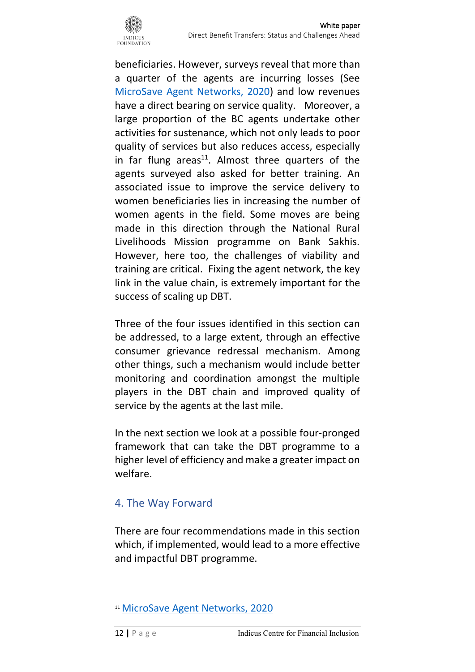

beneficiaries. However, surveys reveal that more than a quarter of the agents are incurring losses (See [MicroSave Agent Networks, 2020\)](https://www.microsave.net/wp-content/uploads/2020/05/Agent-networks-Ideas-and-lessons-from-India.pdf) and low revenues have a direct bearing on service quality. Moreover, a large proportion of the BC agents undertake other activities for sustenance, which not only leads to poor quality of services but also reduces access, especially in far flung areas<sup>11</sup>. Almost three quarters of the agents surveyed also asked for better training. An associated issue to improve the service delivery to women beneficiaries lies in increasing the number of women agents in the field. Some moves are being made in this direction through the National Rural Livelihoods Mission programme on Bank Sakhis. However, here too, the challenges of viability and training are critical. Fixing the agent network, the key link in the value chain, is extremely important for the success of scaling up DBT.

Three of the four issues identified in this section can be addressed, to a large extent, through an effective consumer grievance redressal mechanism. Among other things, such a mechanism would include better monitoring and coordination amongst the multiple players in the DBT chain and improved quality of service by the agents at the last mile.

In the next section we look at a possible four-pronged framework that can take the DBT programme to a higher level of efficiency and make a greater impact on welfare.

## 4. The Way Forward

There are four recommendations made in this section which, if implemented, would lead to a more effective and impactful DBT programme.

<sup>11</sup> [MicroSave Agent Networks, 2020](https://www.microsave.net/wp-content/uploads/2020/05/Agent-networks-Ideas-and-lessons-from-India.pdf)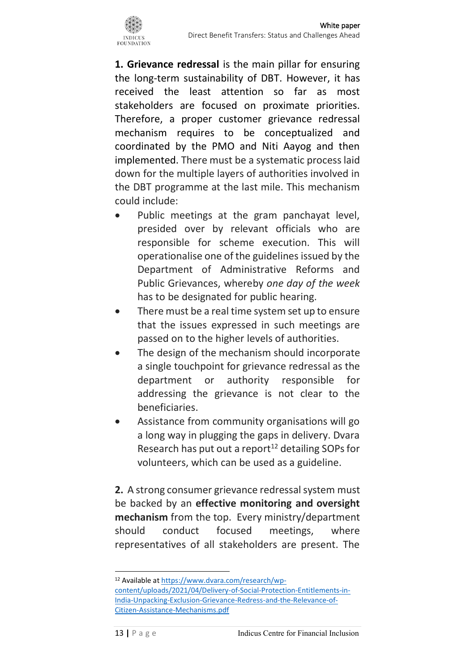**1. Grievance redressal** is the main pillar for ensuring the long-term sustainability of DBT. However, it has received the least attention so far as most stakeholders are focused on proximate priorities. Therefore, a proper customer grievance redressal mechanism requires to be conceptualized and coordinated by the PMO and Niti Aayog and then implemented. There must be a systematic process laid down for the multiple layers of authorities involved in the DBT programme at the last mile. This mechanism could include:

- Public meetings at the gram panchayat level, presided over by relevant officials who are responsible for scheme execution. This will operationalise one of the guidelines issued by the Department of Administrative Reforms and Public Grievances, whereby *one day of the week* has to be designated for public hearing.
- There must be a real time system set up to ensure that the issues expressed in such meetings are passed on to the higher levels of authorities.
- The design of the mechanism should incorporate a single touchpoint for grievance redressal as the department or authority responsible for addressing the grievance is not clear to the beneficiaries.
- Assistance from community organisations will go a long way in plugging the gaps in delivery. Dvara Research has put out a report $12$  detailing SOPs for volunteers, which can be used as a guideline.

**2.** A strong consumer grievance redressal system must be backed by an **effective monitoring and oversight mechanism** from the top. Every ministry/department should conduct focused meetings, where representatives of all stakeholders are present. The

<sup>12</sup> Available a[t https://www.dvara.com/research/wp](https://www.dvara.com/research/wp-content/uploads/2021/04/Delivery-of-Social-Protection-Entitlements-in-India-Unpacking-Exclusion-Grievance-Redress-and-the-Relevance-of-Citizen-Assistance-Mechanisms.pdf)[content/uploads/2021/04/Delivery-of-Social-Protection-Entitlements-in-](https://www.dvara.com/research/wp-content/uploads/2021/04/Delivery-of-Social-Protection-Entitlements-in-India-Unpacking-Exclusion-Grievance-Redress-and-the-Relevance-of-Citizen-Assistance-Mechanisms.pdf)[India-Unpacking-Exclusion-Grievance-Redress-and-the-Relevance-of-](https://www.dvara.com/research/wp-content/uploads/2021/04/Delivery-of-Social-Protection-Entitlements-in-India-Unpacking-Exclusion-Grievance-Redress-and-the-Relevance-of-Citizen-Assistance-Mechanisms.pdf)[Citizen-Assistance-Mechanisms.pdf](https://www.dvara.com/research/wp-content/uploads/2021/04/Delivery-of-Social-Protection-Entitlements-in-India-Unpacking-Exclusion-Grievance-Redress-and-the-Relevance-of-Citizen-Assistance-Mechanisms.pdf)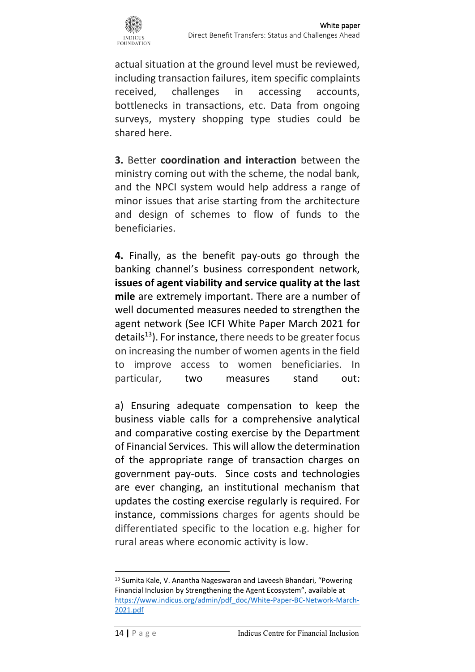

actual situation at the ground level must be reviewed, including transaction failures, item specific complaints received, challenges in accessing accounts, bottlenecks in transactions, etc. Data from ongoing surveys, mystery shopping type studies could be shared here.

**3.** Better **coordination and interaction** between the ministry coming out with the scheme, the nodal bank, and the NPCI system would help address a range of minor issues that arise starting from the architecture and design of schemes to flow of funds to the beneficiaries.

**4.** Finally, as the benefit pay-outs go through the banking channel's business correspondent network, **issues of agent viability and service quality at the last mile** are extremely important. There are a number of well documented measures needed to strengthen the agent network (See ICFI White Paper March 2021 for details<sup>13</sup>). For instance, there needs to be greater focus on increasing the number of women agents in the field to improve access to women beneficiaries. In particular, two measures stand out:

a) Ensuring adequate compensation to keep the business viable calls for a comprehensive analytical and comparative costing exercise by the Department of Financial Services. This will allow the determination of the appropriate range of transaction charges on government pay-outs. Since costs and technologies are ever changing, an institutional mechanism that updates the costing exercise regularly is required. For instance, commissions charges for agents should be differentiated specific to the location e.g. higher for rural areas where economic activity is low.

<sup>13</sup> Sumita Kale, V. Anantha Nageswaran and Laveesh Bhandari, "Powering Financial Inclusion by Strengthening the Agent Ecosystem", available at [https://www.indicus.org/admin/pdf\\_doc/White-Paper-BC-Network-March-](https://www.indicus.org/admin/pdf_doc/White-Paper-BC-Network-March-2021.pdf)[2021.pdf](https://www.indicus.org/admin/pdf_doc/White-Paper-BC-Network-March-2021.pdf)